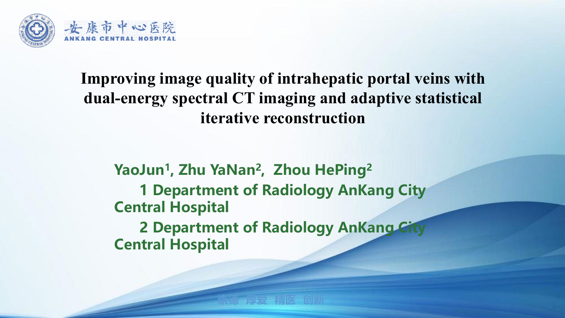

**Improving image quality of intrahepatic portal veins with dual-energy spectral CT imaging and adaptive statistical iterative reconstruction**

**YaoJun1, Zhu YaNan2, Zhou HePing2 1 Department of Radiology AnKang City Central Hospital**

**2 Department of Radiology AnKang City Central Hospital**

**崇德 厚爱 精医 创新**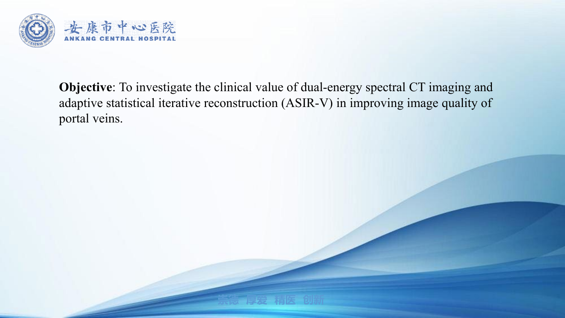

**Objective**: To investigate the clinical value of dual-energy spectral CT imaging and adaptive statistical iterative reconstruction (ASIR-V) in improving image quality of portal veins.

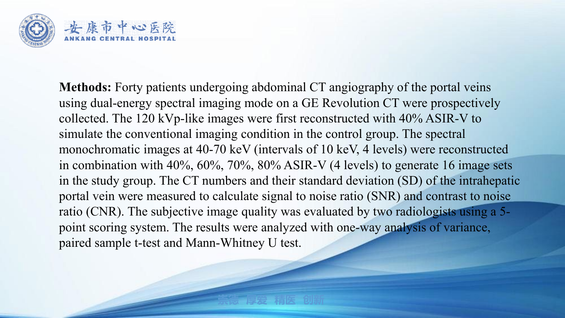

**Methods:** Forty patients undergoing abdominal CT angiography of the portal veins using dual-energy spectral imaging mode on a GE Revolution CT were prospectively collected. The 120 kVp-like images were first reconstructed with 40% ASIR-V to simulate the conventional imaging condition in the control group. The spectral monochromatic images at 40-70 keV (intervals of 10 keV, 4 levels) were reconstructed in combination with 40%, 60%, 70%, 80% ASIR-V (4 levels) to generate 16 image sets in the study group. The CT numbers and their standard deviation (SD) of the intrahepatic portal vein were measured to calculate signal to noise ratio (SNR) and contrast to noise ratio (CNR). The subjective image quality was evaluated by two radiologists using a 5 point scoring system. The results were analyzed with one-way analysis of variance, paired sample t-test and Mann-Whitney U test.

**崇德 厚爱 精医 创新**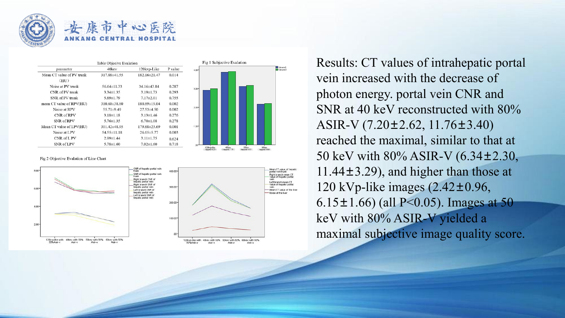

## 安康市中心医院

| Table Objecive Evalation  |                   |                  |         | Fig 1 Subjective Evalation                      |                                |  |
|---------------------------|-------------------|------------------|---------|-------------------------------------------------|--------------------------------|--|
| parameter                 | 40kev             | 120kvp-Like      | P value | $4.00 -$                                        | Viewer1<br>Viewer <sub>2</sub> |  |
| Mean CT value of PV trunk | 317.88±41.55      | 182.16±21.47     | 0.014   |                                                 |                                |  |
| (HU)                      |                   |                  |         |                                                 |                                |  |
| Noise at PV trunk         | 56.64±11.33       | 34.16±43.84      | 0.287   | $3.00 -$                                        |                                |  |
| CNR of PV trunk           | $3.34 \pm 1.35$   | $3.19 \pm 1.73$  | 0.293   |                                                 |                                |  |
| SNR of PV trunk           | $5.89 \pm 1.79$   | $7.17 \pm 2.01$  | 0.755   |                                                 |                                |  |
| mean CT value of RPV(HU)  | 310.60±38.80      | 180.89±19.04     | 0.002   |                                                 |                                |  |
| Noise at RPV              | 55.71±9.49        | 27.53±4.50       | 0.002   | $2.00 -$                                        |                                |  |
| CNR of RPV                | $3.18 \pm 1.18$   | $3.13 \pm 1.46$  | 0.276   |                                                 |                                |  |
| SNR of RPV                | $5.76 \pm 1.35$   | $6.70 \pm 1.08$  | 0.278   |                                                 |                                |  |
| Mean CT value of LPV(HU)  | 301.42±48.95      | 179.88±23.69     | 0.001   | $1,00 -$                                        |                                |  |
| Noise at LPV              | $54.55 \pm 11.18$ | $26.65 \pm 5.77$ | 0.003   |                                                 |                                |  |
| CNR of L PV               | $2.99 \pm 1.44$   | $3.11 \pm 1.75$  | 0.624   |                                                 |                                |  |
| SNR of LPV                | $5.78 \pm 1.60$   | $7.02 \pm 1.60$  | 0.718   | CO <sub>1</sub><br>120kvp-lke<br>40kev<br>60kev |                                |  |

Fig 2 Objective Evalation of Line Chart



Results: CT values of intrahepatic portal vein increased with the decrease of photon energy. portal vein CNR and SNR at 40 keV reconstructed with 80% ASIR-V (7.20±2.62, 11.76±3.40) reached the maximal, similar to that at 50 keV with 80% ASIR-V (6.34±2.30, 11.44 $\pm$ 3.29), and higher than those at 120 kVp-like images (2.42±0.96, 6.15 $\pm$ 1.66) (all P<0.05). Images at 50 keV with 80% ASIR-V yielded a maximal subjective image quality score.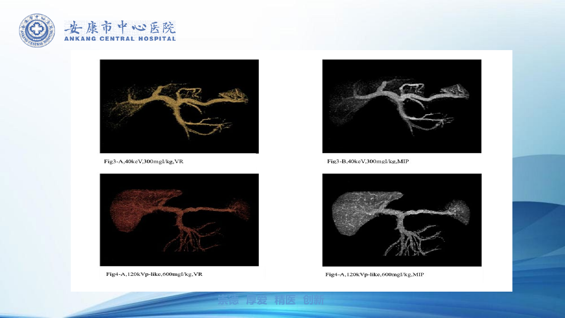



Fig3-A,40keV,300mgI/kg,VR



宗徳 厚爱 精医 创新

Fig4-A,120kVp-like,600mgL/kg,VR



Fig3-B,40keV,300mgI/kg,MIP



Fig4-A,120kVp-like,600mgI/kg,MIP